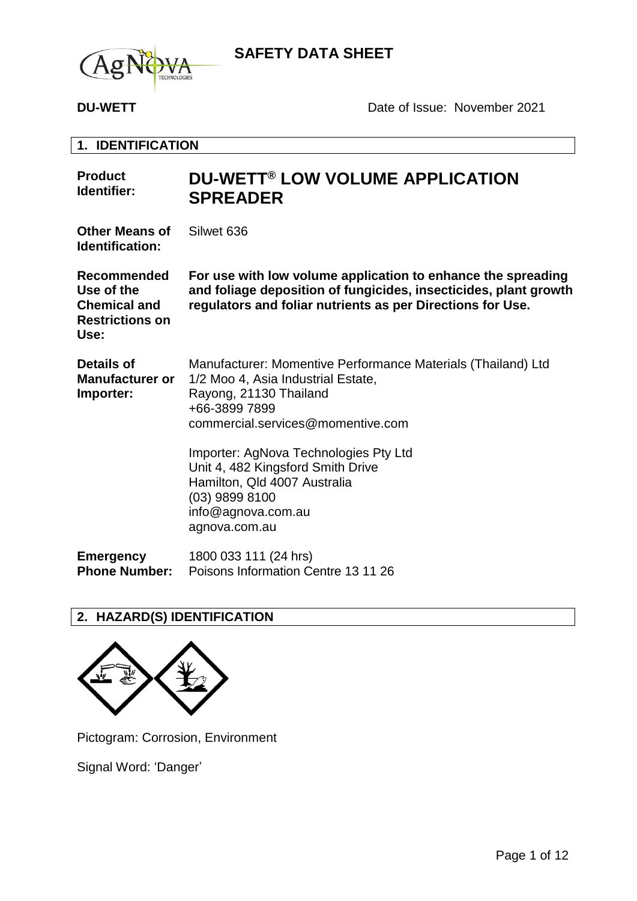

**DU-WETT** DATE: Date of Issue: November 2021

**1. IDENTIFICATION**

| <b>Product</b><br>Identifier:                                                             | <b>DU-WETT® LOW VOLUME APPLICATION</b><br><b>SPREADER</b>                                                                                                                                      |
|-------------------------------------------------------------------------------------------|------------------------------------------------------------------------------------------------------------------------------------------------------------------------------------------------|
| <b>Other Means of</b><br><b>Identification:</b>                                           | Silwet 636                                                                                                                                                                                     |
| <b>Recommended</b><br>Use of the<br><b>Chemical and</b><br><b>Restrictions on</b><br>Use: | For use with low volume application to enhance the spreading<br>and foliage deposition of fungicides, insecticides, plant growth<br>regulators and foliar nutrients as per Directions for Use. |
| <b>Details of</b><br><b>Manufacturer or</b><br>Importer:                                  | Manufacturer: Momentive Performance Materials (Thailand) Ltd<br>1/2 Moo 4, Asia Industrial Estate,<br>Rayong, 21130 Thailand<br>+66-3899 7899<br>commercial.services@momentive.com             |
|                                                                                           | Importer: AgNova Technologies Pty Ltd<br>Unit 4, 482 Kingsford Smith Drive<br>Hamilton, Qld 4007 Australia<br>(03) 9899 8100<br>info@agnova.com.au<br>agnova.com.au                            |
| <b>Emergency</b><br><b>Phone Number:</b>                                                  | 1800 033 111 (24 hrs)<br>Poisons Information Centre 13 11 26                                                                                                                                   |

## **2. HAZARD(S) IDENTIFICATION**



Pictogram: Corrosion, Environment

Signal Word: 'Danger'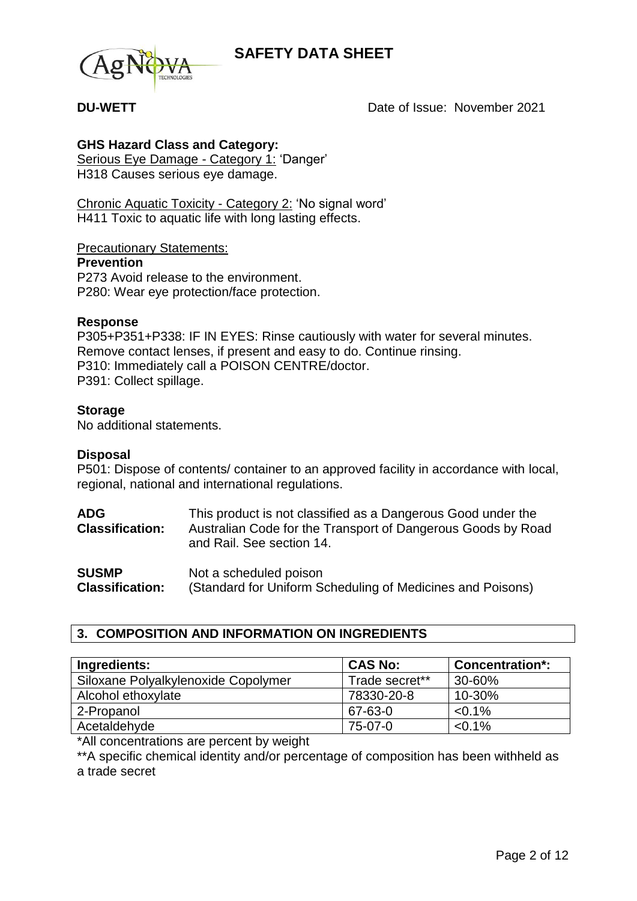

**DU-WETT** DU-WETT DUE Date of Issue: November 2021

## **GHS Hazard Class and Category:**

Serious Eye Damage - Category 1: 'Danger' H318 Causes serious eye damage.

Chronic Aquatic Toxicity - Category 2: 'No signal word' H411 Toxic to aquatic life with long lasting effects.

Precautionary Statements:

### **Prevention**

P273 Avoid release to the environment. P280: Wear eye protection/face protection.

### **Response**

P305+P351+P338: IF IN EYES: Rinse cautiously with water for several minutes. Remove contact lenses, if present and easy to do. Continue rinsing. P310: Immediately call a POISON CENTRE/doctor. P391: Collect spillage.

### **Storage**

No additional statements.

### **Disposal**

P501: Dispose of contents/ container to an approved facility in accordance with local, regional, national and international regulations.

| <b>ADG</b><br><b>Classification:</b> | This product is not classified as a Dangerous Good under the<br>Australian Code for the Transport of Dangerous Goods by Road<br>and Rail. See section 14. |
|--------------------------------------|-----------------------------------------------------------------------------------------------------------------------------------------------------------|
| ------                               |                                                                                                                                                           |

**SUSMP Classification:** Not a scheduled poison (Standard for Uniform Scheduling of Medicines and Poisons)

## **3. COMPOSITION AND INFORMATION ON INGREDIENTS**

| Ingredients:                        | <b>CAS No:</b> | <b>Concentration*:</b> |
|-------------------------------------|----------------|------------------------|
| Siloxane Polyalkylenoxide Copolymer | Trade secret** | 30-60%                 |
| Alcohol ethoxylate                  | 78330-20-8     | 10-30%                 |
| 2-Propanol                          | 67-63-0        | $< 0.1\%$              |
| Acetaldehyde                        | 75-07-0        | $< 0.1\%$              |

\*All concentrations are percent by weight

\*\*A specific chemical identity and/or percentage of composition has been withheld as a trade secret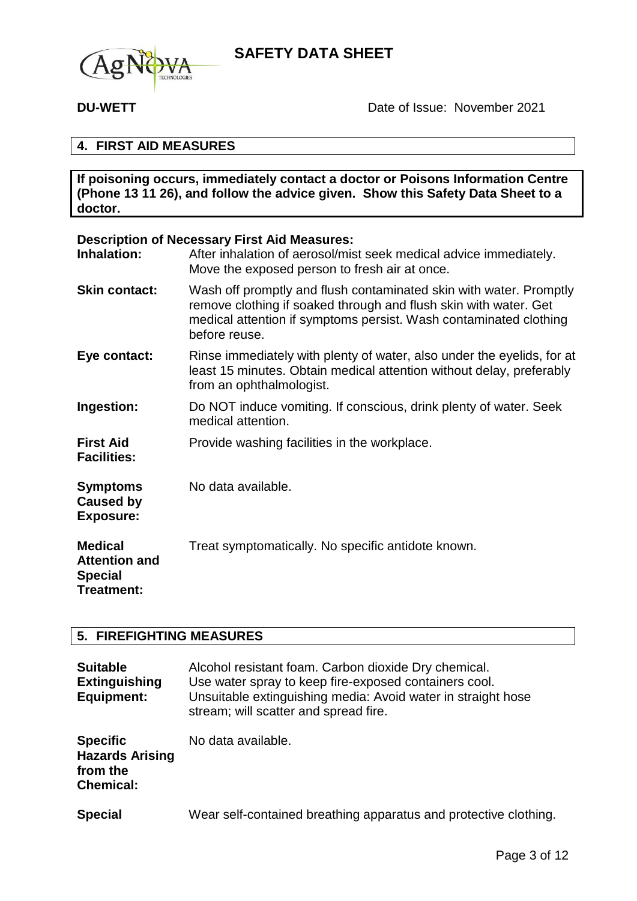

## **4. FIRST AID MEASURES**

**If poisoning occurs, immediately contact a doctor or Poisons Information Centre (Phone 13 11 26), and follow the advice given. Show this Safety Data Sheet to a doctor.**

### **Description of Necessary First Aid Measures:**

| Inhalation:                                                            | After inhalation of aerosol/mist seek medical advice immediately.<br>Move the exposed person to fresh air at once.                                                                                                           |
|------------------------------------------------------------------------|------------------------------------------------------------------------------------------------------------------------------------------------------------------------------------------------------------------------------|
| <b>Skin contact:</b>                                                   | Wash off promptly and flush contaminated skin with water. Promptly<br>remove clothing if soaked through and flush skin with water. Get<br>medical attention if symptoms persist. Wash contaminated clothing<br>before reuse. |
| Eye contact:                                                           | Rinse immediately with plenty of water, also under the eyelids, for at<br>least 15 minutes. Obtain medical attention without delay, preferably<br>from an ophthalmologist.                                                   |
| Ingestion:                                                             | Do NOT induce vomiting. If conscious, drink plenty of water. Seek<br>medical attention.                                                                                                                                      |
| <b>First Aid</b><br><b>Facilities:</b>                                 | Provide washing facilities in the workplace.                                                                                                                                                                                 |
| <b>Symptoms</b><br><b>Caused by</b><br><b>Exposure:</b>                | No data available.                                                                                                                                                                                                           |
| <b>Medical</b><br><b>Attention and</b><br><b>Special</b><br>Treatment: | Treat symptomatically. No specific antidote known.                                                                                                                                                                           |

## **5. FIREFIGHTING MEASURES**

| <b>Suitable</b><br><b>Extinguishing</b><br><b>Equipment:</b>              | Alcohol resistant foam. Carbon dioxide Dry chemical.<br>Use water spray to keep fire-exposed containers cool.<br>Unsuitable extinguishing media: Avoid water in straight hose<br>stream; will scatter and spread fire. |
|---------------------------------------------------------------------------|------------------------------------------------------------------------------------------------------------------------------------------------------------------------------------------------------------------------|
| <b>Specific</b><br><b>Hazards Arising</b><br>from the<br><b>Chemical:</b> | No data available.                                                                                                                                                                                                     |
| <b>Special</b>                                                            | Wear self-contained breathing apparatus and protective clothing.                                                                                                                                                       |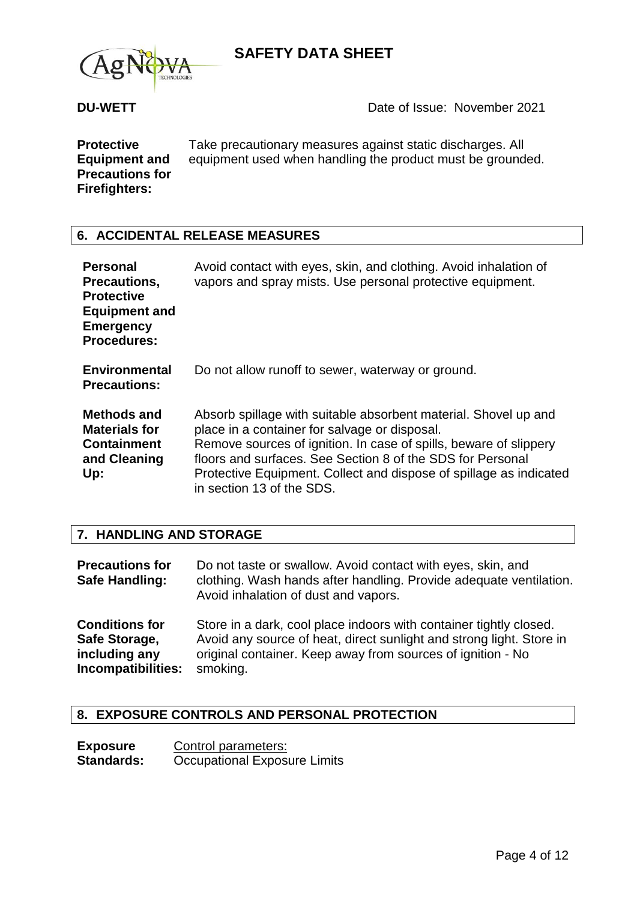



**Protective Equipment and Precautions for Firefighters:**

Take precautionary measures against static discharges. All equipment used when handling the product must be grounded.

## **6. ACCIDENTAL RELEASE MEASURES**

| <b>Personal</b><br>Precautions,<br><b>Protective</b><br><b>Equipment and</b><br><b>Emergency</b><br><b>Procedures:</b> | Avoid contact with eyes, skin, and clothing. Avoid inhalation of<br>vapors and spray mists. Use personal protective equipment.                                                                                                                                                                                                                         |
|------------------------------------------------------------------------------------------------------------------------|--------------------------------------------------------------------------------------------------------------------------------------------------------------------------------------------------------------------------------------------------------------------------------------------------------------------------------------------------------|
| <b>Environmental</b><br><b>Precautions:</b>                                                                            | Do not allow runoff to sewer, waterway or ground.                                                                                                                                                                                                                                                                                                      |
| <b>Methods and</b><br><b>Materials for</b><br><b>Containment</b><br>and Cleaning<br>Up:                                | Absorb spillage with suitable absorbent material. Shovel up and<br>place in a container for salvage or disposal.<br>Remove sources of ignition. In case of spills, beware of slippery<br>floors and surfaces. See Section 8 of the SDS for Personal<br>Protective Equipment. Collect and dispose of spillage as indicated<br>in section 13 of the SDS. |

## **7. HANDLING AND STORAGE**

| <b>Precautions for</b><br>Safe Handling: | Do not taste or swallow. Avoid contact with eyes, skin, and<br>clothing. Wash hands after handling. Provide adequate ventilation.<br>Avoid inhalation of dust and vapors. |
|------------------------------------------|---------------------------------------------------------------------------------------------------------------------------------------------------------------------------|
| <b>Conditions for</b>                    | Store in a dark, cool place indoors with container tightly closed.                                                                                                        |
| Safe Storage,                            | Avoid any source of heat, direct sunlight and strong light. Store in                                                                                                      |
| including any                            | original container. Keep away from sources of ignition - No                                                                                                               |
| Incompatibilities:                       | smoking.                                                                                                                                                                  |

## **8. EXPOSURE CONTROLS AND PERSONAL PROTECTION**

| <b>Exposure</b>   | Control parameters:                 |
|-------------------|-------------------------------------|
| <b>Standards:</b> | <b>Occupational Exposure Limits</b> |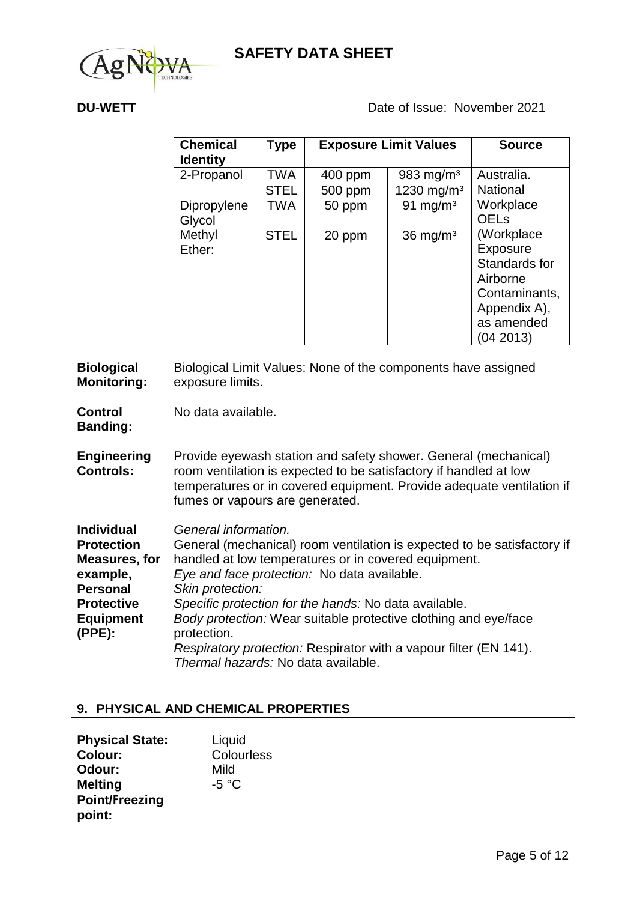

**DU-WETT** DU-WETT DUE Date of Issue: November 2021

| <b>Chemical</b><br><b>Identity</b> | Type        |         | <b>Exposure Limit Values</b> | <b>Source</b>                                                                                                   |
|------------------------------------|-------------|---------|------------------------------|-----------------------------------------------------------------------------------------------------------------|
| 2-Propanol                         | TWA         | 400 ppm | 983 mg/m <sup>3</sup>        | Australia.                                                                                                      |
|                                    | <b>STEL</b> | 500 ppm | 1230 mg/m <sup>3</sup>       | <b>National</b>                                                                                                 |
| Dipropylene<br>Glycol              | <b>TWA</b>  | 50 ppm  | 91 mg/m <sup>3</sup>         | Workplace<br><b>OELs</b>                                                                                        |
| Methyl<br>Ether:                   | <b>STEL</b> | 20 ppm  | $36 \text{ mg/m}^3$          | (Workplace<br>Exposure<br>Standards for<br>Airborne<br>Contaminants,<br>Appendix A),<br>as amended<br>(04 2013) |

**Biological Monitoring:** Biological Limit Values: None of the components have assigned exposure limits.

**Control Banding:** No data available.

**Engineering Controls:** Provide eyewash station and safety shower. General (mechanical) room ventilation is expected to be satisfactory if handled at low temperatures or in covered equipment. Provide adequate ventilation if fumes or vapours are generated.

| <b>Individual</b>    | General information.                                                    |
|----------------------|-------------------------------------------------------------------------|
| <b>Protection</b>    | General (mechanical) room ventilation is expected to be satisfactory if |
| <b>Measures, for</b> | handled at low temperatures or in covered equipment.                    |
| example,             | Eye and face protection: No data available.                             |
| <b>Personal</b>      | Skin protection:                                                        |
| <b>Protective</b>    | Specific protection for the hands: No data available.                   |
| <b>Equipment</b>     | Body protection: Wear suitable protective clothing and eye/face         |
| (PPE):               | protection.                                                             |
|                      | Respiratory protection: Respirator with a vapour filter (EN 141).       |
|                      | Thermal hazards: No data available.                                     |

## **9. PHYSICAL AND CHEMICAL PROPERTIES**

| <b>Physical State:</b> | Liquid     |
|------------------------|------------|
| <b>Colour:</b>         | Colourless |
| Odour:                 | Mild       |
| <b>Melting</b>         | -5 °C      |
| <b>Point/Freezing</b>  |            |
| point:                 |            |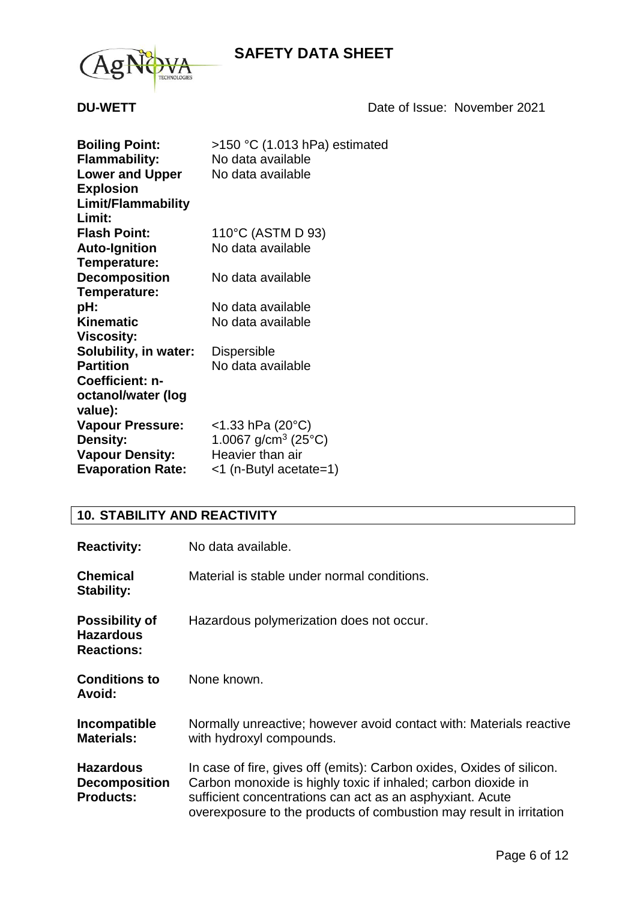



**DU-WETT** DATE: November 2021

| <b>Boiling Point:</b>    | >150 °C (1.013 hPa) estimated              |
|--------------------------|--------------------------------------------|
| <b>Flammability:</b>     | No data available                          |
| <b>Lower and Upper</b>   | No data available                          |
| <b>Explosion</b>         |                                            |
| Limit/Flammability       |                                            |
| Limit:                   |                                            |
| <b>Flash Point:</b>      | 110°C (ASTM D 93)                          |
| <b>Auto-Ignition</b>     | No data available                          |
| Temperature:             |                                            |
| <b>Decomposition</b>     | No data available                          |
| Temperature:             |                                            |
| pH:                      | No data available                          |
| <b>Kinematic</b>         | No data available                          |
| <b>Viscosity:</b>        |                                            |
| Solubility, in water:    | <b>Dispersible</b>                         |
| <b>Partition</b>         | No data available                          |
| Coefficient: n-          |                                            |
| octanol/water (log       |                                            |
| value):                  |                                            |
| <b>Vapour Pressure:</b>  | $<$ 1.33 hPa (20 $^{\circ}$ C)             |
| <b>Density:</b>          | 1.0067 g/cm <sup>3</sup> (25 $^{\circ}$ C) |
| <b>Vapour Density:</b>   | Heavier than air                           |
| <b>Evaporation Rate:</b> | <1 (n-Butyl acetate=1)                     |

## **10. STABILITY AND REACTIVITY**

| <b>Reactivity:</b>                                             | No data available.                                                                                                                                                                                                                                                         |
|----------------------------------------------------------------|----------------------------------------------------------------------------------------------------------------------------------------------------------------------------------------------------------------------------------------------------------------------------|
| <b>Chemical</b><br><b>Stability:</b>                           | Material is stable under normal conditions.                                                                                                                                                                                                                                |
| <b>Possibility of</b><br><b>Hazardous</b><br><b>Reactions:</b> | Hazardous polymerization does not occur.                                                                                                                                                                                                                                   |
| <b>Conditions to</b><br><b>Avoid:</b>                          | None known.                                                                                                                                                                                                                                                                |
| Incompatible<br><b>Materials:</b>                              | Normally unreactive; however avoid contact with: Materials reactive<br>with hydroxyl compounds.                                                                                                                                                                            |
| <b>Hazardous</b><br><b>Decomposition</b><br><b>Products:</b>   | In case of fire, gives off (emits): Carbon oxides, Oxides of silicon.<br>Carbon monoxide is highly toxic if inhaled; carbon dioxide in<br>sufficient concentrations can act as an asphyxiant. Acute<br>overexposure to the products of combustion may result in irritation |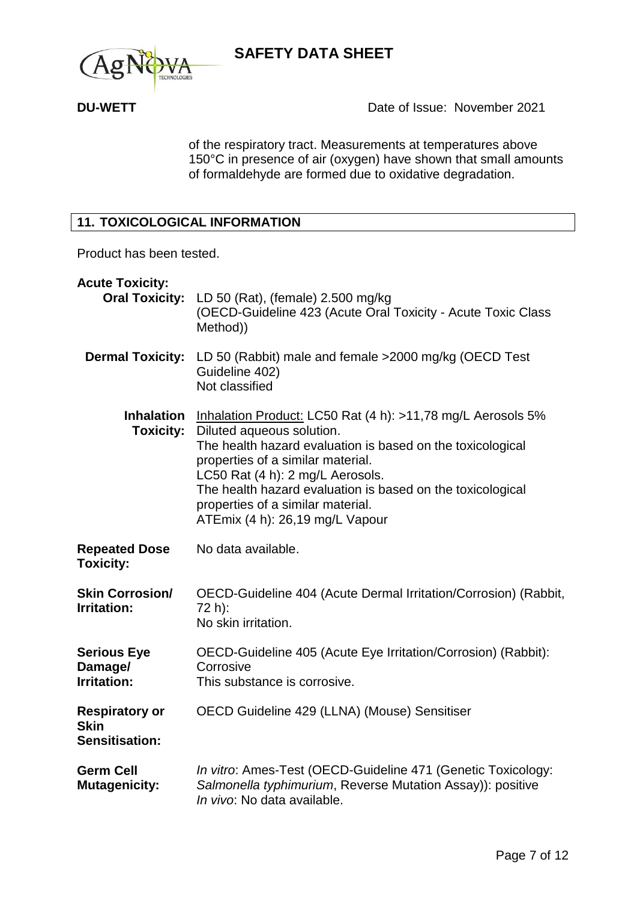



of the respiratory tract. Measurements at temperatures above 150°C in presence of air (oxygen) have shown that small amounts of formaldehyde are formed due to oxidative degradation.

## **11. TOXICOLOGICAL INFORMATION**

Product has been tested.

| <b>Acute Toxicity:</b><br><b>Oral Toxicity:</b>        | LD 50 (Rat), (female) 2.500 mg/kg<br>(OECD-Guideline 423 (Acute Oral Toxicity - Acute Toxic Class<br>Method))                                                                                                                                                                                                                                                         |
|--------------------------------------------------------|-----------------------------------------------------------------------------------------------------------------------------------------------------------------------------------------------------------------------------------------------------------------------------------------------------------------------------------------------------------------------|
| <b>Dermal Toxicity:</b>                                | LD 50 (Rabbit) male and female >2000 mg/kg (OECD Test<br>Guideline 402)<br>Not classified                                                                                                                                                                                                                                                                             |
| <b>Inhalation</b><br><b>Toxicity:</b>                  | Inhalation Product: LC50 Rat (4 h): >11,78 mg/L Aerosols 5%<br>Diluted aqueous solution.<br>The health hazard evaluation is based on the toxicological<br>properties of a similar material.<br>LC50 Rat (4 h): 2 mg/L Aerosols.<br>The health hazard evaluation is based on the toxicological<br>properties of a similar material.<br>ATEmix (4 h): 26,19 mg/L Vapour |
| <b>Repeated Dose</b><br><b>Toxicity:</b>               | No data available.                                                                                                                                                                                                                                                                                                                                                    |
| <b>Skin Corrosion/</b><br><b>Irritation:</b>           | OECD-Guideline 404 (Acute Dermal Irritation/Corrosion) (Rabbit,<br>72 h):<br>No skin irritation.                                                                                                                                                                                                                                                                      |
| <b>Serious Eye</b><br>Damage/<br>Irritation:           | OECD-Guideline 405 (Acute Eye Irritation/Corrosion) (Rabbit):<br>Corrosive<br>This substance is corrosive.                                                                                                                                                                                                                                                            |
| <b>Respiratory or</b><br><b>Skin</b><br>Sensitisation: | OECD Guideline 429 (LLNA) (Mouse) Sensitiser                                                                                                                                                                                                                                                                                                                          |
| <b>Germ Cell</b><br><b>Mutagenicity:</b>               | In vitro: Ames-Test (OECD-Guideline 471 (Genetic Toxicology:<br>Salmonella typhimurium, Reverse Mutation Assay)): positive<br>In vivo: No data available.                                                                                                                                                                                                             |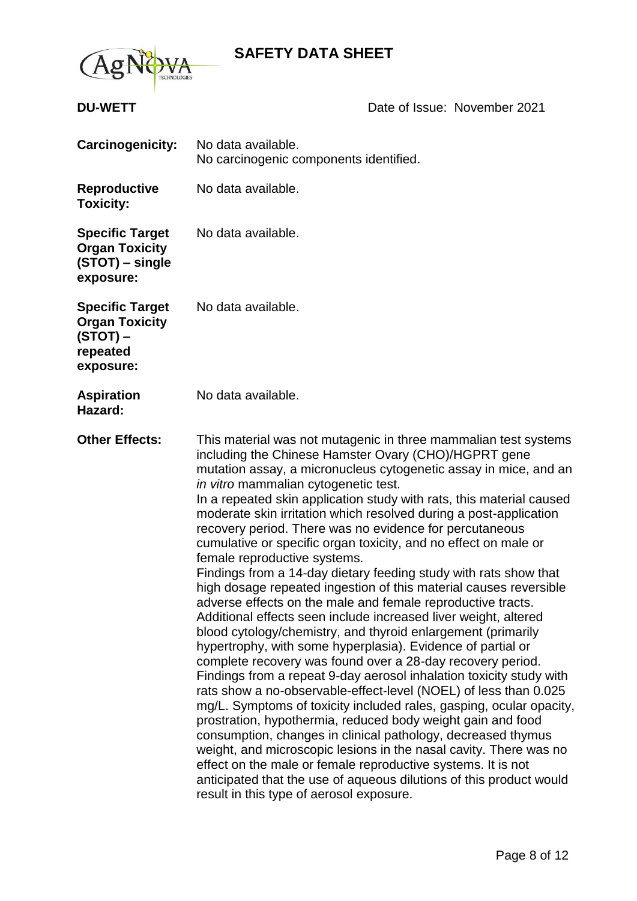

## **DU-WETT** DU-WETT DUE Date of Issue: November 2021

| <b>Carcinogenicity:</b>                                                                | No data available.<br>No carcinogenic components identified.                                                                                                                                                                                                                                                                                                                                                                                                                                                                                                                                                                                                                                                                                                                                                                                                                                                                                                                                                                                                                                                                                                                                                                                                                                                                                                                                                                                                                                                                                                                                                                    |
|----------------------------------------------------------------------------------------|---------------------------------------------------------------------------------------------------------------------------------------------------------------------------------------------------------------------------------------------------------------------------------------------------------------------------------------------------------------------------------------------------------------------------------------------------------------------------------------------------------------------------------------------------------------------------------------------------------------------------------------------------------------------------------------------------------------------------------------------------------------------------------------------------------------------------------------------------------------------------------------------------------------------------------------------------------------------------------------------------------------------------------------------------------------------------------------------------------------------------------------------------------------------------------------------------------------------------------------------------------------------------------------------------------------------------------------------------------------------------------------------------------------------------------------------------------------------------------------------------------------------------------------------------------------------------------------------------------------------------------|
| <b>Reproductive</b><br><b>Toxicity:</b>                                                | No data available.                                                                                                                                                                                                                                                                                                                                                                                                                                                                                                                                                                                                                                                                                                                                                                                                                                                                                                                                                                                                                                                                                                                                                                                                                                                                                                                                                                                                                                                                                                                                                                                                              |
| <b>Specific Target</b><br><b>Organ Toxicity</b><br>(STOT) – single<br>exposure:        | No data available.                                                                                                                                                                                                                                                                                                                                                                                                                                                                                                                                                                                                                                                                                                                                                                                                                                                                                                                                                                                                                                                                                                                                                                                                                                                                                                                                                                                                                                                                                                                                                                                                              |
| <b>Specific Target</b><br><b>Organ Toxicity</b><br>$(STOT)$ –<br>repeated<br>exposure: | No data available.                                                                                                                                                                                                                                                                                                                                                                                                                                                                                                                                                                                                                                                                                                                                                                                                                                                                                                                                                                                                                                                                                                                                                                                                                                                                                                                                                                                                                                                                                                                                                                                                              |
| <b>Aspiration</b><br>Hazard:                                                           | No data available.                                                                                                                                                                                                                                                                                                                                                                                                                                                                                                                                                                                                                                                                                                                                                                                                                                                                                                                                                                                                                                                                                                                                                                                                                                                                                                                                                                                                                                                                                                                                                                                                              |
| <b>Other Effects:</b>                                                                  | This material was not mutagenic in three mammalian test systems<br>including the Chinese Hamster Ovary (CHO)/HGPRT gene<br>mutation assay, a micronucleus cytogenetic assay in mice, and an<br>in vitro mammalian cytogenetic test.<br>In a repeated skin application study with rats, this material caused<br>moderate skin irritation which resolved during a post-application<br>recovery period. There was no evidence for percutaneous<br>cumulative or specific organ toxicity, and no effect on male or<br>female reproductive systems.<br>Findings from a 14-day dietary feeding study with rats show that<br>high dosage repeated ingestion of this material causes reversible<br>adverse effects on the male and female reproductive tracts.<br>Additional effects seen include increased liver weight, altered<br>blood cytology/chemistry, and thyroid enlargement (primarily<br>hypertrophy, with some hyperplasia). Evidence of partial or<br>complete recovery was found over a 28-day recovery period.<br>Findings from a repeat 9-day aerosol inhalation toxicity study with<br>rats show a no-observable-effect-level (NOEL) of less than 0.025<br>mg/L. Symptoms of toxicity included rales, gasping, ocular opacity,<br>prostration, hypothermia, reduced body weight gain and food<br>consumption, changes in clinical pathology, decreased thymus<br>weight, and microscopic lesions in the nasal cavity. There was no<br>effect on the male or female reproductive systems. It is not<br>anticipated that the use of aqueous dilutions of this product would<br>result in this type of aerosol exposure. |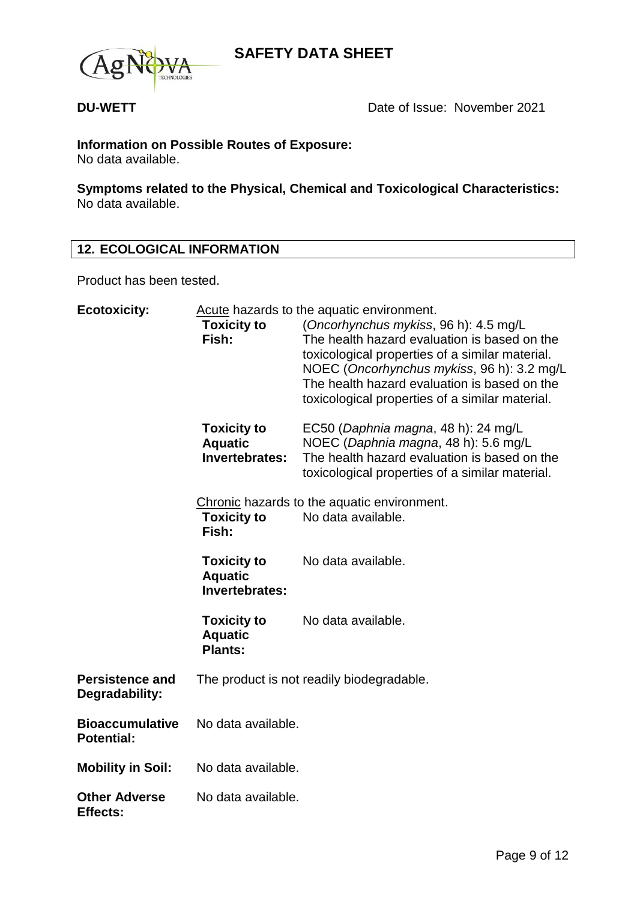



# **Information on Possible Routes of Exposure:**

No data available.

**Symptoms related to the Physical, Chemical and Toxicological Characteristics:** No data available.

## **12. ECOLOGICAL INFORMATION**

Product has been tested.

| <b>Ecotoxicity:</b>                         | Acute hazards to the aquatic environment.              |                                                                                                                                                                                                                                                                                           |  |
|---------------------------------------------|--------------------------------------------------------|-------------------------------------------------------------------------------------------------------------------------------------------------------------------------------------------------------------------------------------------------------------------------------------------|--|
|                                             | <b>Toxicity to</b><br>Fish:                            | (Oncorhynchus mykiss, 96 h): 4.5 mg/L<br>The health hazard evaluation is based on the<br>toxicological properties of a similar material.<br>NOEC (Oncorhynchus mykiss, 96 h): 3.2 mg/L<br>The health hazard evaluation is based on the<br>toxicological properties of a similar material. |  |
|                                             | <b>Toxicity to</b><br><b>Aquatic</b><br>Invertebrates: | EC50 (Daphnia magna, 48 h): 24 mg/L<br>NOEC (Daphnia magna, 48 h): 5.6 mg/L<br>The health hazard evaluation is based on the<br>toxicological properties of a similar material.                                                                                                            |  |
|                                             | <b>Toxicity to</b><br>Fish:                            | Chronic hazards to the aquatic environment.<br>No data available.                                                                                                                                                                                                                         |  |
|                                             | <b>Toxicity to</b><br><b>Aquatic</b><br>Invertebrates: | No data available.                                                                                                                                                                                                                                                                        |  |
|                                             | <b>Toxicity to</b><br><b>Aquatic</b><br><b>Plants:</b> | No data available.                                                                                                                                                                                                                                                                        |  |
| <b>Persistence and</b><br>Degradability:    |                                                        | The product is not readily biodegradable.                                                                                                                                                                                                                                                 |  |
| <b>Bioaccumulative</b><br><b>Potential:</b> | No data available.                                     |                                                                                                                                                                                                                                                                                           |  |
| <b>Mobility in Soil:</b>                    | No data available.                                     |                                                                                                                                                                                                                                                                                           |  |
| <b>Other Adverse</b><br><b>Effects:</b>     | No data available.                                     |                                                                                                                                                                                                                                                                                           |  |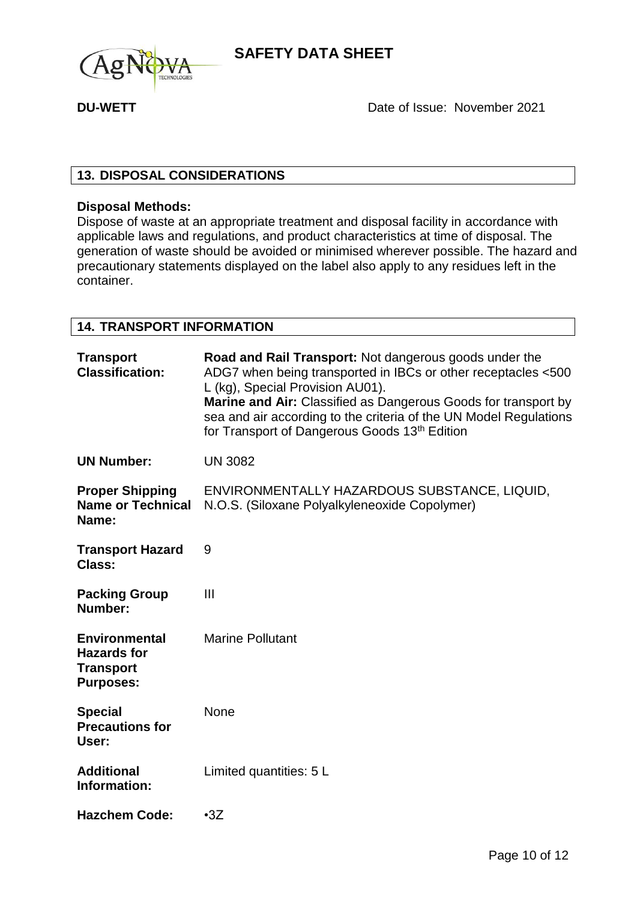

**DU-WETT** DU-WETT DUE Date of Issue: November 2021

## **13. DISPOSAL CONSIDERATIONS**

## **Disposal Methods:**

Dispose of waste at an appropriate treatment and disposal facility in accordance with applicable laws and regulations, and product characteristics at time of disposal. The generation of waste should be avoided or minimised wherever possible. The hazard and precautionary statements displayed on the label also apply to any residues left in the container.

## **14. TRANSPORT INFORMATION**

| <b>Transport</b><br><b>Classification:</b>                                         | Road and Rail Transport: Not dangerous goods under the<br>ADG7 when being transported in IBCs or other receptacles <500<br>L (kg), Special Provision AU01).<br>Marine and Air: Classified as Dangerous Goods for transport by<br>sea and air according to the criteria of the UN Model Regulations<br>for Transport of Dangerous Goods 13th Edition |
|------------------------------------------------------------------------------------|-----------------------------------------------------------------------------------------------------------------------------------------------------------------------------------------------------------------------------------------------------------------------------------------------------------------------------------------------------|
| <b>UN Number:</b>                                                                  | <b>UN 3082</b>                                                                                                                                                                                                                                                                                                                                      |
| <b>Proper Shipping</b><br><b>Name or Technical</b><br>Name:                        | ENVIRONMENTALLY HAZARDOUS SUBSTANCE, LIQUID,<br>N.O.S. (Siloxane Polyalkyleneoxide Copolymer)                                                                                                                                                                                                                                                       |
| <b>Transport Hazard</b><br>Class:                                                  | 9                                                                                                                                                                                                                                                                                                                                                   |
| <b>Packing Group</b><br>Number:                                                    | $\mathbf{III}$                                                                                                                                                                                                                                                                                                                                      |
| <b>Environmental</b><br><b>Hazards for</b><br><b>Transport</b><br><b>Purposes:</b> | <b>Marine Pollutant</b>                                                                                                                                                                                                                                                                                                                             |
| <b>Special</b><br><b>Precautions for</b><br>User:                                  | None                                                                                                                                                                                                                                                                                                                                                |
| <b>Additional</b><br>Information:                                                  | Limited quantities: 5 L                                                                                                                                                                                                                                                                                                                             |
| <b>Hazchem Code:</b>                                                               | $-3Z$                                                                                                                                                                                                                                                                                                                                               |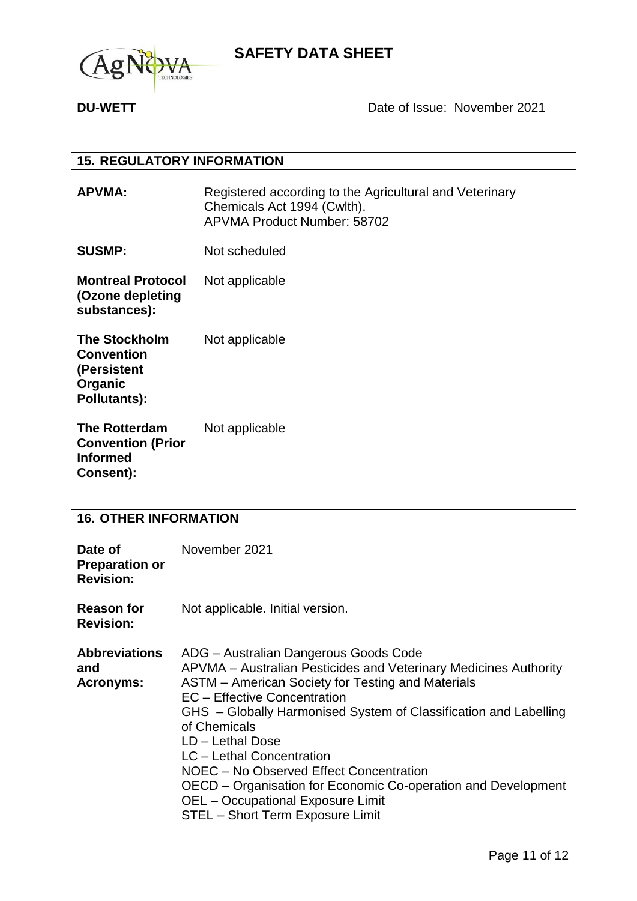

## **DU-WETT** DU-WETT DUE Date of Issue: November 2021

### **15. REGULATORY INFORMATION**

**APVMA:** Registered according to the Agricultural and Veterinary Chemicals Act 1994 (Cwlth). APVMA Product Number: 58702

**SUSMP:** Not scheduled

**Montreal Protocol (Ozone depleting substances):** Not applicable

**The Stockholm Convention (Persistent Organic Pollutants):** Not applicable

**The Rotterdam Convention (Prior Informed Consent):** Not applicable

## **16. OTHER INFORMATION**

| Date of<br><b>Preparation or</b><br><b>Revision:</b> | November 2021                                                                                                                                                                                                                                                                                                                                                                                                                                                                                                                   |
|------------------------------------------------------|---------------------------------------------------------------------------------------------------------------------------------------------------------------------------------------------------------------------------------------------------------------------------------------------------------------------------------------------------------------------------------------------------------------------------------------------------------------------------------------------------------------------------------|
| <b>Reason for</b><br><b>Revision:</b>                | Not applicable. Initial version.                                                                                                                                                                                                                                                                                                                                                                                                                                                                                                |
| <b>Abbreviations</b><br>and<br><b>Acronyms:</b>      | ADG - Australian Dangerous Goods Code<br>APVMA – Australian Pesticides and Veterinary Medicines Authority<br>ASTM – American Society for Testing and Materials<br>EC - Effective Concentration<br>GHS - Globally Harmonised System of Classification and Labelling<br>of Chemicals<br>LD - Lethal Dose<br>LC - Lethal Concentration<br>NOEC – No Observed Effect Concentration<br>OECD – Organisation for Economic Co-operation and Development<br><b>OEL</b> – Occupational Exposure Limit<br>STEL - Short Term Exposure Limit |